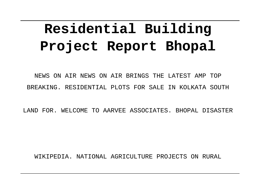# **Residential Building Project Report Bhopal**

NEWS ON AIR NEWS ON AIR BRINGS THE LATEST AMP TOP BREAKING. RESIDENTIAL PLOTS FOR SALE IN KOLKATA SOUTH

LAND FOR. WELCOME TO AARVEE ASSOCIATES. BHOPAL DISASTER

WIKIPEDIA. NATIONAL AGRICULTURE PROJECTS ON RURAL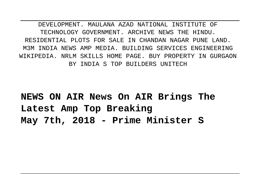DEVELOPMENT. MAULANA AZAD NATIONAL INSTITUTE OF TECHNOLOGY GOVERNMENT. ARCHIVE NEWS THE HINDU. RESIDENTIAL PLOTS FOR SALE IN CHANDAN NAGAR PUNE LAND. M3M INDIA NEWS AMP MEDIA. BUILDING SERVICES ENGINEERING WIKIPEDIA. NRLM SKILLS HOME PAGE. BUY PROPERTY IN GURGAON BY INDIA S TOP BUILDERS UNITECH

**NEWS ON AIR News On AIR Brings The Latest Amp Top Breaking May 7th, 2018 - Prime Minister S**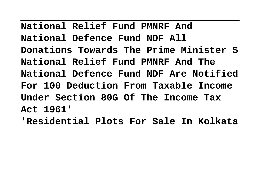**National Relief Fund PMNRF And National Defence Fund NDF All Donations Towards The Prime Minister S National Relief Fund PMNRF And The National Defence Fund NDF Are Notified For 100 Deduction From Taxable Income Under Section 80G Of The Income Tax Act 1961**'

'**Residential Plots For Sale In Kolkata**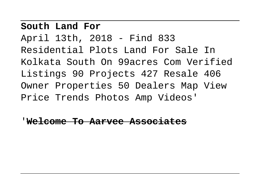### **South Land For**

April 13th, 2018 - Find 833 Residential Plots Land For Sale In Kolkata South On 99acres Com Verified Listings 90 Projects 427 Resale 406 Owner Properties 50 Dealers Map View Price Trends Photos Amp Videos'

'**Welcome To Aarvee Associates**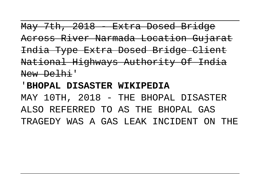May 7th, 2018 - Extra Dosed Bridge Across River Narmada Location Gujarat India Type Extra Dosed Bridge Client National Highways Authority Of India New Delhi'

#### '**BHOPAL DISASTER WIKIPEDIA**

MAY 10TH, 2018 - THE BHOPAL DISASTER ALSO REFERRED TO AS THE BHOPAL GAS TRAGEDY WAS A GAS LEAK INCIDENT ON THE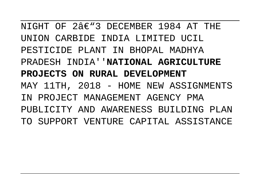NIGHT OF  $23 \in 3$  DECEMBER 1984 AT THE UNION CARBIDE INDIA LIMITED UCIL PESTICIDE PLANT IN BHOPAL MADHYA PRADESH INDIA''**NATIONAL AGRICULTURE PROJECTS ON RURAL DEVELOPMENT** MAY 11TH, 2018 - HOME NEW ASSIGNMENTS IN PROJECT MANAGEMENT AGENCY PMA PUBLICITY AND AWARENESS BUILDING PLAN TO SUPPORT VENTURE CAPITAL ASSISTANCE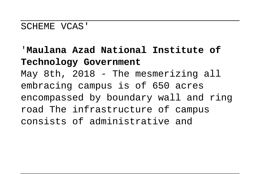#### SCHEME VCAS'

# '**Maulana Azad National Institute of Technology Government** May 8th, 2018 - The mesmerizing all embracing campus is of 650 acres encompassed by boundary wall and ring road The infrastructure of campus consists of administrative and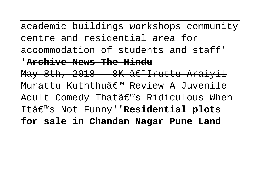academic buildings workshops community centre and residential area for accommodation of students and staff'

## '**Archive News The Hindu**

May 8th,  $2018$  8K  $\frac{2018}{1000}$  8K  $\frac{2018}{1000}$ Murattu Kuththu' Review A Juvenile Adult Comedy Thatâ€<sup>m</sup>s Ridiculous When It's Not Funny''**Residential plots for sale in Chandan Nagar Pune Land**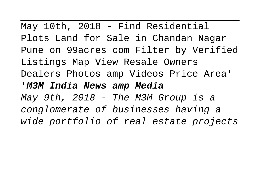May 10th, 2018 - Find Residential Plots Land for Sale in Chandan Nagar Pune on 99acres com Filter by Verified Listings Map View Resale Owners Dealers Photos amp Videos Price Area' '**M3M India News amp Media** May 9th, 2018 - The M3M Group is a conglomerate of businesses having a

wide portfolio of real estate projects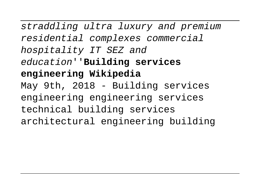straddling ultra luxury and premium residential complexes commercial hospitality IT SEZ and education''**Building services engineering Wikipedia** May 9th, 2018 - Building services engineering engineering services technical building services architectural engineering building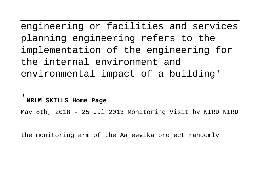engineering or facilities and services planning engineering refers to the implementation of the engineering for the internal environment and environmental impact of a building'

#### '**NRLM SKILLS Home Page**

May 8th, 2018 - 25 Jul 2013 Monitoring Visit by NIRD NIRD

the monitoring arm of the Aajeevika project randomly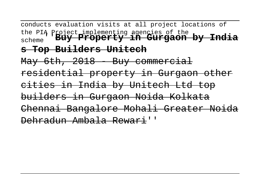conducts evaluation visits at all project locations of the PIA Project implementing agencies of the scheme''**Buy Property in Gurgaon by India s Top Builders Unitech** May 6th, 2018 Buy commercial residential property in Gurgaon other cities in India by Unitech Ltd top builders in Gurgaon Noida Kolkata Chennai Bangalore Mohali Greater Noida Dehradun Ambala Rewari''